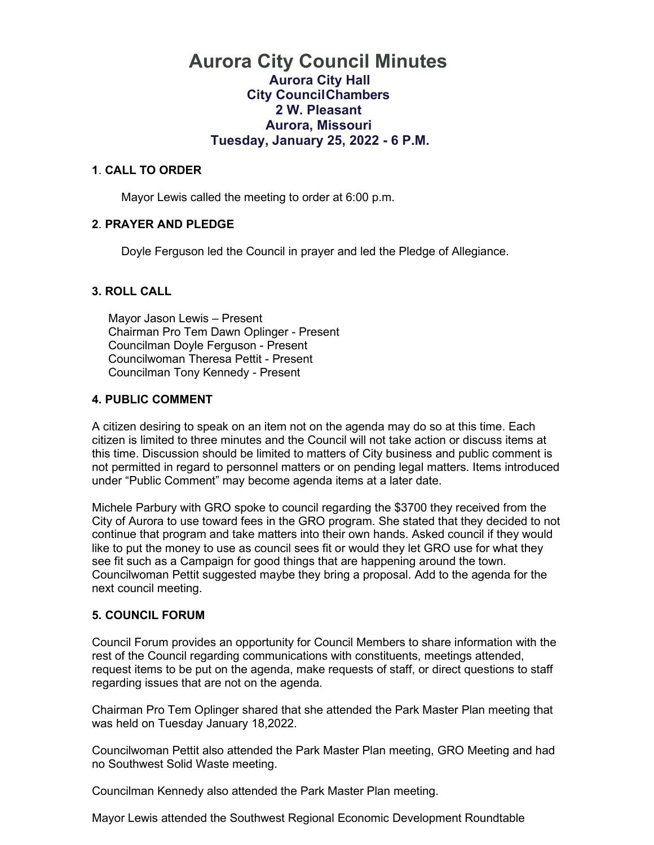### **Aurora City Council Minutes Aurora City Hall City CouncilChambers 2 W. Pleasant Aurora, Missouri Tuesday, January 25, 2022 - 6 P.M.**

#### **1**. **CALL TO ORDER**

Mayor Lewis called the meeting to order at 6:00 p.m.

### **2**. **PRAYER AND PLEDGE**

Doyle Ferguson led the Council in prayer and led the Pledge of Allegiance.

#### **3. ROLL CALL**

 Mayor Jason Lewis – Present Chairman Pro Tem Dawn Oplinger - Present Councilman Doyle Ferguson - Present Councilwoman Theresa Pettit - Present Councilman Tony Kennedy - Present

#### **4. PUBLIC COMMENT**

A citizen desiring to speak on an item not on the agenda may do so at this time. Each citizen is limited to three minutes and the Council will not take action or discuss items at this time. Discussion should be limited to matters of City business and public comment is not permitted in regard to personnel matters or on pending legal matters. Items introduced under "Public Comment" may become agenda items at a later date.

Michele Parbury with GRO spoke to council regarding the \$3700 they received from the City of Aurora to use toward fees in the GRO program. She stated that they decided to not continue that program and take matters into their own hands. Asked council if they would like to put the money to use as council sees fit or would they let GRO use for what they see fit such as a Campaign for good things that are happening around the town. Councilwoman Pettit suggested maybe they bring a proposal. Add to the agenda for the next council meeting.

#### **5. COUNCIL FORUM**

Council Forum provides an opportunity for Council Members to share information with the rest of the Council regarding communications with constituents, meetings attended, request items to be put on the agenda, make requests of staff, or direct questions to staff regarding issues that are not on the agenda.

Chairman Pro Tem Oplinger shared that she attended the Park Master Plan meeting that was held on Tuesday January 18,2022.

Councilwoman Pettit also attended the Park Master Plan meeting, GRO Meeting and had no Southwest Solid Waste meeting.

Councilman Kennedy also attended the Park Master Plan meeting.

Mayor Lewis attended the Southwest Regional Economic Development Roundtable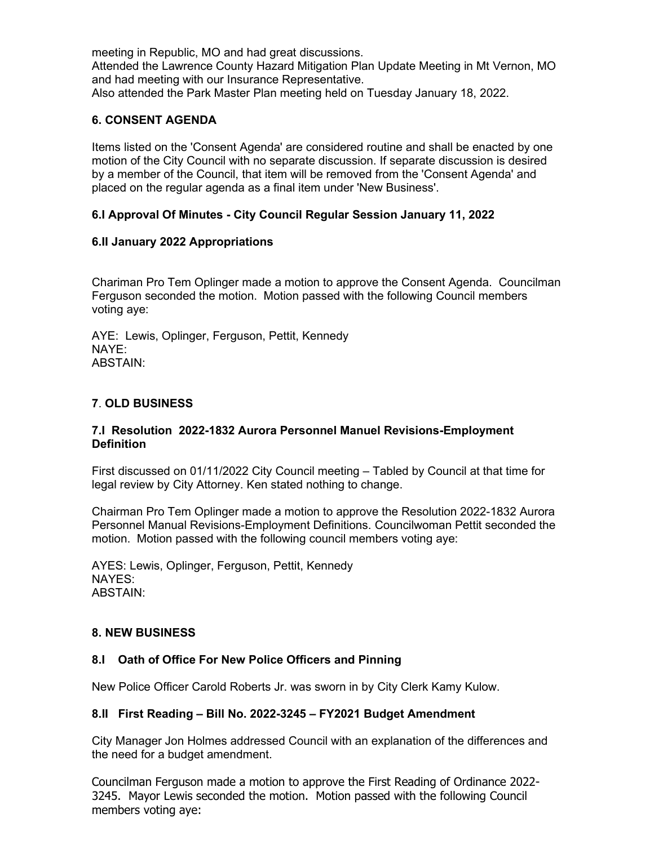meeting in Republic, MO and had great discussions. Attended the Lawrence County Hazard Mitigation Plan Update Meeting in Mt Vernon, MO and had meeting with our Insurance Representative. Also attended the Park Master Plan meeting held on Tuesday January 18, 2022.

### **6. CONSENT AGENDA**

Items listed on the 'Consent Agenda' are considered routine and shall be enacted by one motion of the City Council with no separate discussion. If separate discussion is desired by a member of the Council, that item will be removed from the 'Consent Agenda' and placed on the regular agenda as a final item under 'New Business'.

### **6.I Approval Of Minutes - City Council Regular Session January 11, 2022**

### **6.II January 2022 Appropriations**

Chariman Pro Tem Oplinger made a motion to approve the Consent Agenda. Councilman Ferguson seconded the motion. Motion passed with the following Council members voting aye:

AYE: Lewis, Oplinger, Ferguson, Pettit, Kennedy NAYE: ABSTAIN:

### **7**. **OLD BUSINESS**

### **7.I Resolution 2022-1832 Aurora Personnel Manuel Revisions-Employment Definition**

First discussed on 01/11/2022 City Council meeting – Tabled by Council at that time for legal review by City Attorney. Ken stated nothing to change.

Chairman Pro Tem Oplinger made a motion to approve the Resolution 2022-1832 Aurora Personnel Manual Revisions-Employment Definitions. Councilwoman Pettit seconded the motion. Motion passed with the following council members voting aye:

AYES: Lewis, Oplinger, Ferguson, Pettit, Kennedy NAYES: ABSTAIN:

### **8. NEW BUSINESS**

### **8.I Oath of Office For New Police Officers and Pinning**

New Police Officer Carold Roberts Jr. was sworn in by City Clerk Kamy Kulow.

### **8.II First Reading – Bill No. 2022-3245 – FY2021 Budget Amendment**

City Manager Jon Holmes addressed Council with an explanation of the differences and the need for a budget amendment.

Councilman Ferguson made a motion to approve the First Reading of Ordinance 2022- 3245. Mayor Lewis seconded the motion. Motion passed with the following Council members voting aye: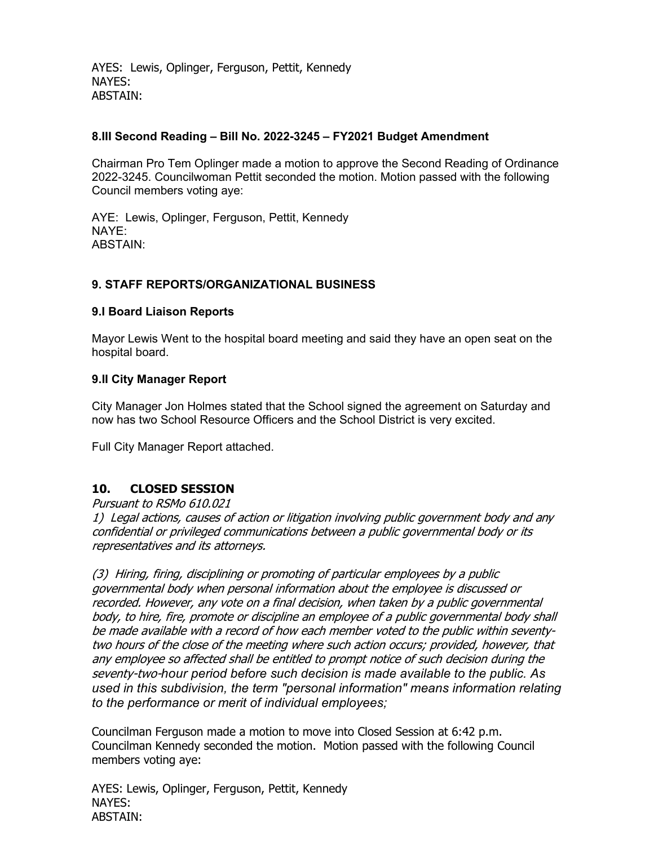AYES: Lewis, Oplinger, Ferguson, Pettit, Kennedy NAYES: ABSTAIN:

#### **8.III Second Reading – Bill No. 2022-3245 – FY2021 Budget Amendment**

Chairman Pro Tem Oplinger made a motion to approve the Second Reading of Ordinance 2022-3245. Councilwoman Pettit seconded the motion. Motion passed with the following Council members voting aye:

AYE: Lewis, Oplinger, Ferguson, Pettit, Kennedy NAYE: ABSTAIN:

### **9. STAFF REPORTS/ORGANIZATIONAL BUSINESS**

#### **9.I Board Liaison Reports**

Mayor Lewis Went to the hospital board meeting and said they have an open seat on the hospital board.

#### **9.II City Manager Report**

City Manager Jon Holmes stated that the School signed the agreement on Saturday and now has two School Resource Officers and the School District is very excited.

Full City Manager Report attached.

### **10. CLOSED SESSION**

Pursuant to RSMo 610.021

1) Legal actions, causes of action or litigation involving public government body and any confidential or privileged communications between a public governmental body or its representatives and its attorneys.

(3) Hiring, firing, disciplining or promoting of particular employees by a public governmental body when personal information about the employee is discussed or recorded. However, any vote on a final decision, when taken by a public governmental body, to hire, fire, promote or discipline an employee of a public governmental body shall be made available with a record of how each member voted to the public within seventytwo hours of the close of the meeting where such action occurs; provided, however, that any employee so affected shall be entitled to prompt notice of such decision during the seventy-two-*hour period before such decision is made available to the public. As used in this subdivision, the term "personal information" means information relating to the performance or merit of individual employees;*

Councilman Ferguson made a motion to move into Closed Session at 6:42 p.m. Councilman Kennedy seconded the motion. Motion passed with the following Council members voting aye:

AYES: Lewis, Oplinger, Ferguson, Pettit, Kennedy NAYES: ABSTAIN: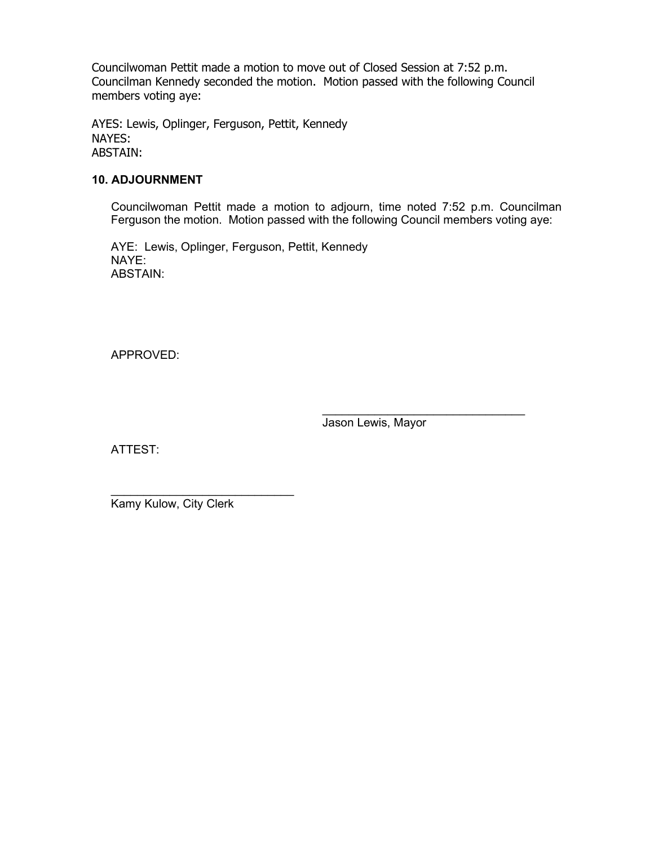Councilwoman Pettit made a motion to move out of Closed Session at 7:52 p.m. Councilman Kennedy seconded the motion. Motion passed with the following Council members voting aye:

AYES: Lewis, Oplinger, Ferguson, Pettit, Kennedy NAYES: ABSTAIN:

#### **10. ADJOURNMENT**

Councilwoman Pettit made a motion to adjourn, time noted 7:52 p.m. Councilman Ferguson the motion. Motion passed with the following Council members voting aye:

AYE: Lewis, Oplinger, Ferguson, Pettit, Kennedy NAYE: ABSTAIN:

APPROVED:

 $\_$ Jason Lewis, Mayor

ATTEST:

 $\_$ Kamy Kulow, City Clerk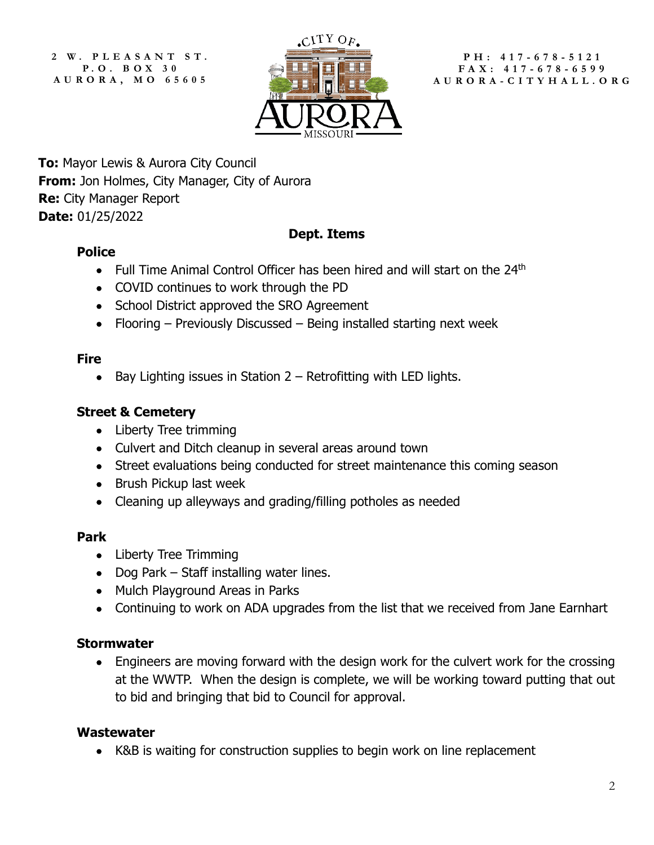**2 W. PLEASANT ST. P. O. B OX 3 0 AURORA, MO 65605**



**PH: 417 - 678 - 5121 FAX: 417 - 678 - 6599 AURORA - CITYHALL.ORG**

**To:** Mayor Lewis & Aurora City Council **From:** Jon Holmes, City Manager, City of Aurora **Re:** City Manager Report **Date:** 01/25/2022

## **Dept. Items**

## **Police**

- Full Time Animal Control Officer has been hired and will start on the  $24<sup>th</sup>$
- COVID continues to work through the PD
- School District approved the SRO Agreement
- Flooring Previously Discussed Being installed starting next week

# **Fire**

• Bay Lighting issues in Station 2 – Retrofitting with LED lights.

# **Street & Cemetery**

- Liberty Tree trimming
- Culvert and Ditch cleanup in several areas around town
- Street evaluations being conducted for street maintenance this coming season
- Brush Pickup last week
- Cleaning up alleyways and grading/filling potholes as needed

## **Park**

- Liberty Tree Trimming
- Dog Park Staff installing water lines.
- Mulch Playground Areas in Parks
- Continuing to work on ADA upgrades from the list that we received from Jane Earnhart

## **Stormwater**

• Engineers are moving forward with the design work for the culvert work for the crossing at the WWTP. When the design is complete, we will be working toward putting that out to bid and bringing that bid to Council for approval.

## **Wastewater**

• K&B is waiting for construction supplies to begin work on line replacement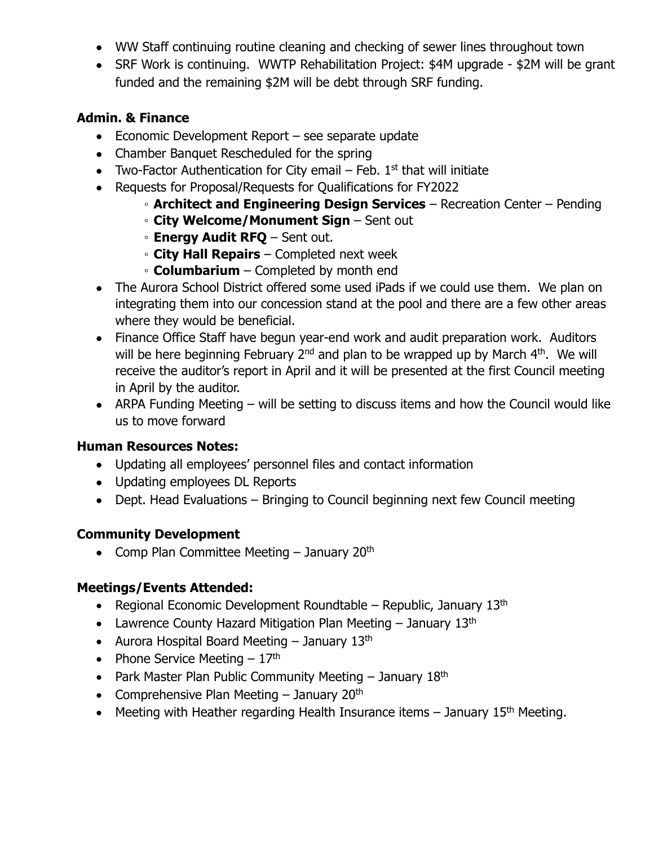- WW Staff continuing routine cleaning and checking of sewer lines throughout town
- SRF Work is continuing. WWTP Rehabilitation Project: \$4M upgrade \$2M will be grant funded and the remaining \$2M will be debt through SRF funding.

### **Admin. & Finance**

- Economic Development Report see separate update
- Chamber Banquet Rescheduled for the spring
- Two-Factor Authentication for City email  $-$  Feb. 1<sup>st</sup> that will initiate
- Requests for Proposal/Requests for Qualifications for FY2022
	- **Architect and Engineering Design Services** Recreation Center Pending
	- **City Welcome/Monument Sign** Sent out
	- **Energy Audit RFQ** Sent out.
	- **City Hall Repairs** Completed next week
	- **Columbarium** Completed by month end
- The Aurora School District offered some used iPads if we could use them. We plan on integrating them into our concession stand at the pool and there are a few other areas where they would be beneficial.
- Finance Office Staff have begun year-end work and audit preparation work. Auditors will be here beginning February  $2^{nd}$  and plan to be wrapped up by March  $4^{th}$ . We will receive the auditor's report in April and it will be presented at the first Council meeting in April by the auditor.
- ARPA Funding Meeting will be setting to discuss items and how the Council would like us to move forward

### **Human Resources Notes:**

- Updating all employees' personnel files and contact information
- Updating employees DL Reports
- Dept. Head Evaluations Bringing to Council beginning next few Council meeting

## **Community Development**

• Comp Plan Committee Meeting  $-$  January 20<sup>th</sup>

## **Meetings/Events Attended:**

- Regional Economic Development Roundtable Republic, January  $13<sup>th</sup>$
- Lawrence County Hazard Mitigation Plan Meeting  $-$  January 13<sup>th</sup>
- Aurora Hospital Board Meeting  $-$  January 13<sup>th</sup>
- Phone Service Meeting  $-17<sup>th</sup>$
- Park Master Plan Public Community Meeting  $-$  January 18<sup>th</sup>
- Comprehensive Plan Meeting  $-$  January 20<sup>th</sup>
- Meeting with Heather regarding Health Insurance items  $-$  January 15<sup>th</sup> Meeting.